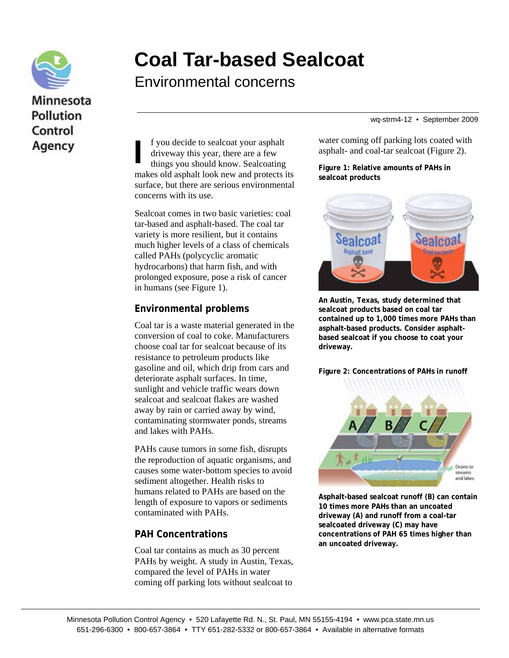

## Minnesota **Pollution** Control Agency

# **Coal Tar-based Sealcoat**

Environmental concerns

wq-strm4-12 • September 2009

f you decide to sealcoat your asphalt driveway this year, there are a few things you should know. Sealcoating makes old asphalt look new and protects its surface, but there are serious environmental concerns with its use.  $\begin{bmatrix} f \\ dr \\ dr \\ th \end{bmatrix}$ 

Sealcoat comes in two basic varieties: coal tar-based and asphalt-based. The coal tar variety is more resilient, but it contains much higher levels of a class of chemicals called PAHs (polycyclic aromatic hydrocarbons) that harm fish, and with prolonged exposure, pose a risk of cancer in humans (see Figure 1).

## **Environmental problems**

Coal tar is a waste material generated in the conversion of coal to coke. Manufacturers choose coal tar for sealcoat because of its resistance to petroleum products like gasoline and oil, which drip from cars and deteriorate asphalt surfaces. In time, sunlight and vehicle traffic wears down sealcoat and sealcoat flakes are washed away by rain or carried away by wind, contaminating stormwater ponds, streams and lakes with PAHs.

PAHs cause tumors in some fish, disrupts the reproduction of aquatic organisms, and causes some water-bottom species to avoid sediment altogether. Health risks to humans related to PAHs are based on the length of exposure to vapors or sediments contaminated with PAHs.

#### **PAH Concentrations**

Coal tar contains as much as 30 percent PAHs by weight. A study in Austin, Texas, compared the level of PAHs in water coming off parking lots without sealcoat to

water coming off parking lots coated with asphalt- and coal-tar sealcoat (Figure 2).

**Figure 1: Relative amounts of PAHs in sealcoat products**



**An Austin, Texas, study determined that sealcoat products based on coal tar contained up to 1,000 times more PAHs than asphalt-based products. Consider asphaltbased sealcoat if you choose to coat your driveway.** 

**Figure 2: Concentrations of PAHs in runoff** 



**Asphalt-based sealcoat runoff (B) can contain 10 times more PAHs than an uncoated driveway (A) and runoff from a coal-tar sealcoated driveway (C) may have concentrations of PAH 65 times higher than an uncoated driveway.**